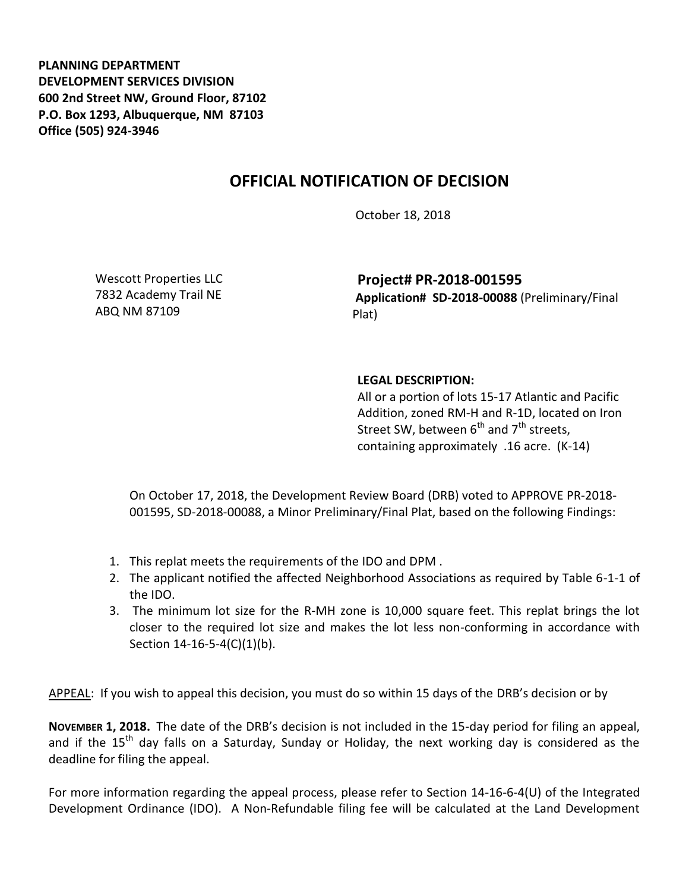**PLANNING DEPARTMENT DEVELOPMENT SERVICES DIVISION 600 2nd Street NW, Ground Floor, 87102 P.O. Box 1293, Albuquerque, NM 87103 Office (505) 924-3946** 

## **OFFICIAL NOTIFICATION OF DECISION**

October 18, 2018

Wescott Properties LLC 7832 Academy Trail NE ABQ NM 87109

**Project# PR-2018-001595 Application# SD-2018-00088** (Preliminary/Final Plat)

## **LEGAL DESCRIPTION:**

All or a portion of lots 15-17 Atlantic and Pacific Addition, zoned RM-H and R-1D, located on Iron Street SW, between  $6^{th}$  and  $7^{th}$  streets, containing approximately .16 acre. (K-14)

On October 17, 2018, the Development Review Board (DRB) voted to APPROVE PR-2018- 001595, SD-2018-00088, a Minor Preliminary/Final Plat, based on the following Findings:

- 1. This replat meets the requirements of the IDO and DPM .
- 2. The applicant notified the affected Neighborhood Associations as required by Table 6-1-1 of the IDO.
- 3. The minimum lot size for the R-MH zone is 10,000 square feet. This replat brings the lot closer to the required lot size and makes the lot less non-conforming in accordance with Section 14-16-5-4(C)(1)(b).

APPEAL: If you wish to appeal this decision, you must do so within 15 days of the DRB's decision or by

**NOVEMBER 1, 2018.** The date of the DRB's decision is not included in the 15-day period for filing an appeal, and if the  $15<sup>th</sup>$  day falls on a Saturday, Sunday or Holiday, the next working day is considered as the deadline for filing the appeal.

For more information regarding the appeal process, please refer to Section 14-16-6-4(U) of the Integrated Development Ordinance (IDO). A Non-Refundable filing fee will be calculated at the Land Development